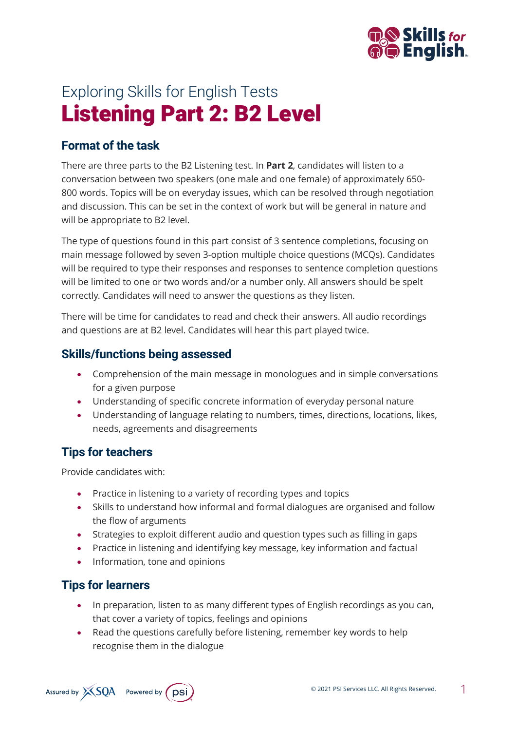

# Exploring Skills for English Tests Listening Part 2: B2 Level

## **Format of the task**

There are three parts to the B2 Listening test. In **Part 2**, candidates will listen to a conversation between two speakers (one male and one female) of approximately 650- 800 words. Topics will be on everyday issues, which can be resolved through negotiation and discussion. This can be set in the context of work but will be general in nature and will be appropriate to B2 level.

The type of questions found in this part consist of 3 sentence completions, focusing on main message followed by seven 3-option multiple choice questions (MCQs). Candidates will be required to type their responses and responses to sentence completion questions will be limited to one or two words and/or a number only. All answers should be spelt correctly. Candidates will need to answer the questions as they listen.

There will be time for candidates to read and check their answers. All audio recordings and questions are at B2 level. Candidates will hear this part played twice.

### **Skills/functions being assessed**

- Comprehension of the main message in monologues and in simple conversations for a given purpose
- Understanding of specific concrete information of everyday personal nature
- Understanding of language relating to numbers, times, directions, locations, likes, needs, agreements and disagreements

# **Tips for teachers**

Provide candidates with:

- Practice in listening to a variety of recording types and topics
- Skills to understand how informal and formal dialogues are organised and follow the flow of arguments
- Strategies to exploit different audio and question types such as filling in gaps
- Practice in listening and identifying key message, key information and factual
- Information, tone and opinions

# **Tips for learners**

- In preparation, listen to as many different types of English recordings as you can, that cover a variety of topics, feelings and opinions
- Read the questions carefully before listening, remember key words to help recognise them in the dialogue

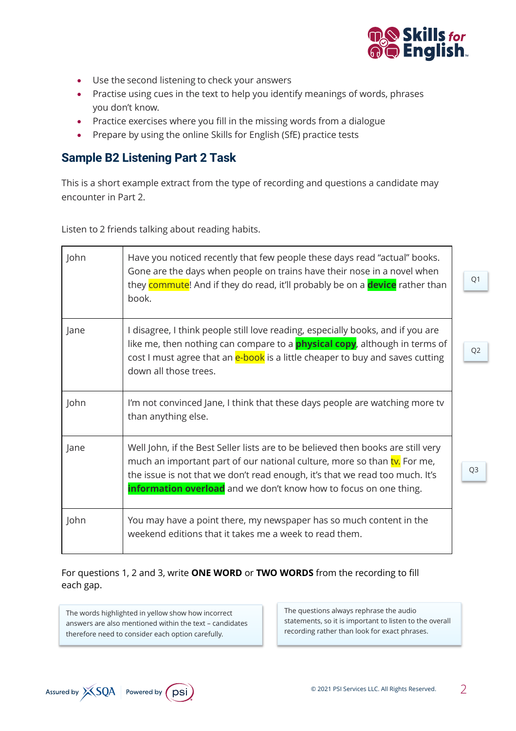

- Use the second listening to check your answers
- Practise using cues in the text to help you identify meanings of words, phrases you don't know.
- Practice exercises where you fill in the missing words from a dialogue
- Prepare by using the online Skills for English (SfE) practice tests

#### **Sample B2 Listening Part 2 Task**

This is a short example extract from the type of recording and questions a candidate may encounter in Part 2.

Listen to 2 friends talking about reading habits.

| John | Have you noticed recently that few people these days read "actual" books.<br>Gone are the days when people on trains have their nose in a novel when<br>they commute! And if they do read, it'll probably be on a device rather than<br>book.                                                                     | Q <sub>1</sub> |
|------|-------------------------------------------------------------------------------------------------------------------------------------------------------------------------------------------------------------------------------------------------------------------------------------------------------------------|----------------|
| Jane | I disagree, I think people still love reading, especially books, and if you are<br>like me, then nothing can compare to a <b>physical copy</b> , although in terms of<br>cost I must agree that an e-book is a little cheaper to buy and saves cutting<br>down all those trees.                                   | Q <sub>2</sub> |
| John | I'm not convinced Jane, I think that these days people are watching more tv<br>than anything else.                                                                                                                                                                                                                |                |
| Jane | Well John, if the Best Seller lists are to be believed then books are still very<br>much an important part of our national culture, more so than tv. For me,<br>the issue is not that we don't read enough, it's that we read too much. It's<br>information overload and we don't know how to focus on one thing. | Q <sub>3</sub> |
| John | You may have a point there, my newspaper has so much content in the<br>weekend editions that it takes me a week to read them.                                                                                                                                                                                     |                |

#### For questions 1, 2 and 3, write **ONE WORD** or **TWO WORDS** from the recording to fill each gap.

The words highlighted in yellow show how incorrect answers are also mentioned within the text – candidates therefore need to consider each option carefully.

The questions always rephrase the audio statements, so it is important to listen to the overall recording rather than look for exact phrases.